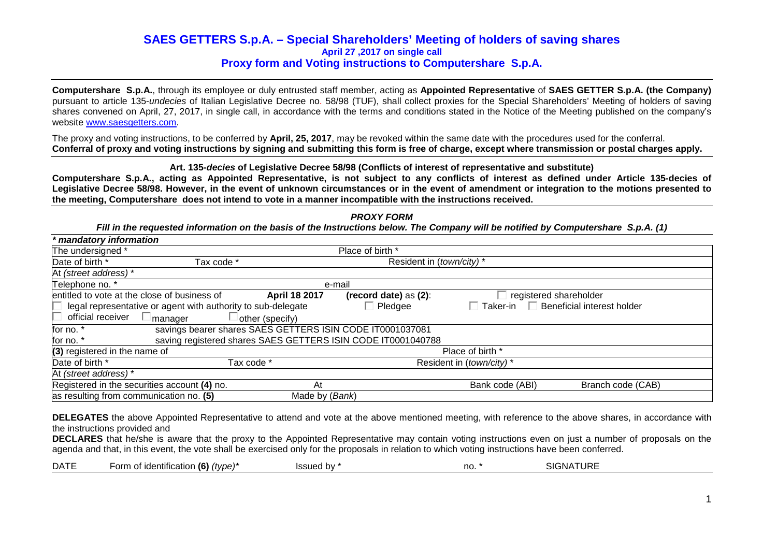**Computershare S.p.A.**, through its employee or duly entrusted staff member, acting as **Appointed Representative** of **SAES GETTER S.p.A. (the Company)**pursuant to article 135-*undecies* of Italian Legislative Decree no. 58/98 (TUF), shall collect proxies for the Special Shareholders' Meeting of holders of saving shares convened on April, 27, 2017, in single call, in accordance with the terms and conditions stated in the Notice of the Meeting published on the company's website www.saesgetters.com.

The proxy and voting instructions, to be conferred by **April, 25, 2017**, may be revoked within the same date with the procedures used for the conferral. **Conferral of proxy and voting instructions by signing and submitting this form is free of charge, except where transmission or postal charges apply.**

**Art. 135-decies of Legislative Decree 58/98 (Conflicts of interest of representative and substitute)** 

 **Computershare S.p.A., acting as Appointed Representative, is not subject to any conflicts of interest as defined under Article 135-decies of Legislative Decree 58/98. However, in the event of unknown circumstances or in the event of amendment or integration to the motions presented to the meeting, Computershare does not intend to vote in a manner incompatible with the instructions received.** 

**PROXY FORM** 

| Fill in the requested information on the basis of the Instructions below. The Company will be notified by Computershare S.p.A. (1) |                 |                                                              |                                               |                   |  |
|------------------------------------------------------------------------------------------------------------------------------------|-----------------|--------------------------------------------------------------|-----------------------------------------------|-------------------|--|
| * mandatory information                                                                                                            |                 |                                                              |                                               |                   |  |
| The undersigned *                                                                                                                  |                 | Place of birth *                                             |                                               |                   |  |
| Date of birth *<br>Tax code *                                                                                                      |                 | Resident in (town/city)*                                     |                                               |                   |  |
| At (street address) *                                                                                                              |                 |                                                              |                                               |                   |  |
| Telephone no. *                                                                                                                    | e-mail          |                                                              |                                               |                   |  |
| entitled to vote at the close of business of                                                                                       | April 18 2017   | (record date) as $(2)$ :                                     | registered shareholder                        |                   |  |
| legal representative or agent with authority to sub-delegate                                                                       |                 | $\Box$ Pledgee                                               | $\Box$ Beneficial interest holder<br>Taker-in |                   |  |
| official receiver<br>manager                                                                                                       | other (specify) |                                                              |                                               |                   |  |
| for no. *                                                                                                                          |                 | savings bearer shares SAES GETTERS ISIN CODE IT0001037081    |                                               |                   |  |
| for no. *                                                                                                                          |                 | saving registered shares SAES GETTERS ISIN CODE IT0001040788 |                                               |                   |  |
| (3) registered in the name of                                                                                                      |                 |                                                              | Place of birth *                              |                   |  |
| Date of birth *                                                                                                                    | Tax code *      | Resident in (town/city)*                                     |                                               |                   |  |
| At (street address) *                                                                                                              |                 |                                                              |                                               |                   |  |
| Registered in the securities account (4) no.                                                                                       | At              |                                                              | Bank code (ABI)                               | Branch code (CAB) |  |
| as resulting from communication no. (5)                                                                                            | Made by (Bank)  |                                                              |                                               |                   |  |

**DELEGATES** the above Appointed Representative to attend and vote at the above mentioned meeting, with reference to the above shares, in accordance with the instructions provided and

 **DECLARES** that he/she is aware that the proxy to the Appointed Representative may contain voting instructions even on just a number of proposals on the agenda and that, in this event, the vote shall be exercised only for the proposals in relation to which voting instructions have been conferred.

|  | <b>DATE</b> | . /ፎ`<br>orn<br>(tvpe)*<br>*ification <b>\</b><br>וחבמו<br><b>KIC.</b><br>w | bv<br>המווספו<br>55050 | no | <b>IATURE</b><br><b>SIGNA</b> |
|--|-------------|-----------------------------------------------------------------------------|------------------------|----|-------------------------------|
|--|-------------|-----------------------------------------------------------------------------|------------------------|----|-------------------------------|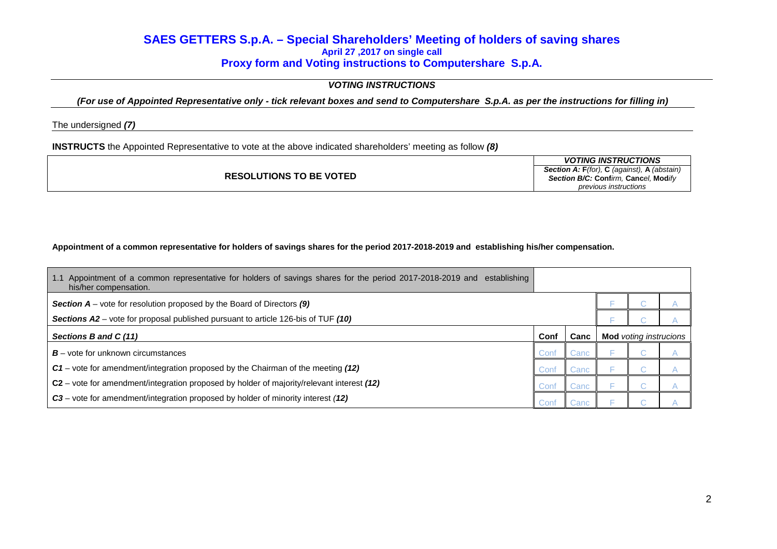## **VOTING INSTRUCTIONS**

**(For use of Appointed Representative only - tick relevant boxes and send to Computershare S.p.A. as per the instructions for filling in)** 

The undersigned **(7)**

**INSTRUCTS** the Appointed Representative to vote at the above indicated shareholders' meeting as follow **(8)**

|                                | <b>VOTING INSTRUCTIONS</b>                          |
|--------------------------------|-----------------------------------------------------|
|                                | <b>Section A: F</b> (for), C (against), A (abstain) |
| <b>RESOLUTIONS TO BE VOTED</b> | Section B/C: Confirm. Cancel. Modify                |
|                                | previous instructions                               |

## **Appointment of a common representative for holders of savings shares for the period 2017-2018-2019 and establishing his/her compensation.**

| Appointment of a common representative for holders of savings shares for the period 2017-2018-2019 and establishing<br>1.1<br>his/her compensation. |      |       |                               |  |
|-----------------------------------------------------------------------------------------------------------------------------------------------------|------|-------|-------------------------------|--|
| <b>Section A</b> – vote for resolution proposed by the Board of Directors $(9)$                                                                     |      |       |                               |  |
| <b>Sections A2</b> – vote for proposal published pursuant to article 126-bis of TUF (10)                                                            |      |       |                               |  |
| Sections B and C (11)                                                                                                                               | Conf | Canc  | <b>Mod</b> voting instrucions |  |
| $B$ – vote for unknown circumstances                                                                                                                | Conf | Cancl |                               |  |
| C1 – vote for amendment/integration proposed by the Chairman of the meeting (12)                                                                    |      | Canc  |                               |  |
| C2 – vote for amendment/integration proposed by holder of majority/relevant interest (12)                                                           | Cont | Canc  |                               |  |
| C3 - vote for amendment/integration proposed by holder of minority interest (12)                                                                    | Conf | Canc  |                               |  |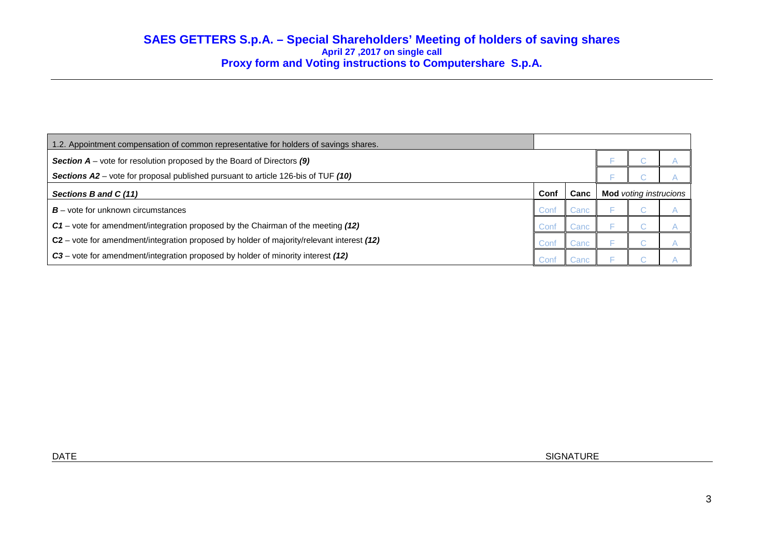| 1.2. Appointment compensation of common representative for holders of savings shares.     |      |      |                               |  |  |
|-------------------------------------------------------------------------------------------|------|------|-------------------------------|--|--|
| <b>Section A</b> – vote for resolution proposed by the Board of Directors $(9)$           |      |      |                               |  |  |
| Sections A2 – vote for proposal published pursuant to article 126-bis of TUF (10)         |      |      |                               |  |  |
| Sections B and C (11)                                                                     | Conf | Canc | <b>Mod</b> voting instrucions |  |  |
| $B$ – vote for unknown circumstances                                                      | Conf | Canc |                               |  |  |
| C1 – vote for amendment/integration proposed by the Chairman of the meeting (12)          | Conf | Canc |                               |  |  |
| C2 – vote for amendment/integration proposed by holder of majority/relevant interest (12) | Conf | Canc |                               |  |  |
| C3 – vote for amendment/integration proposed by holder of minority interest (12)          | Conf | Cand |                               |  |  |

DATE SIGNATURE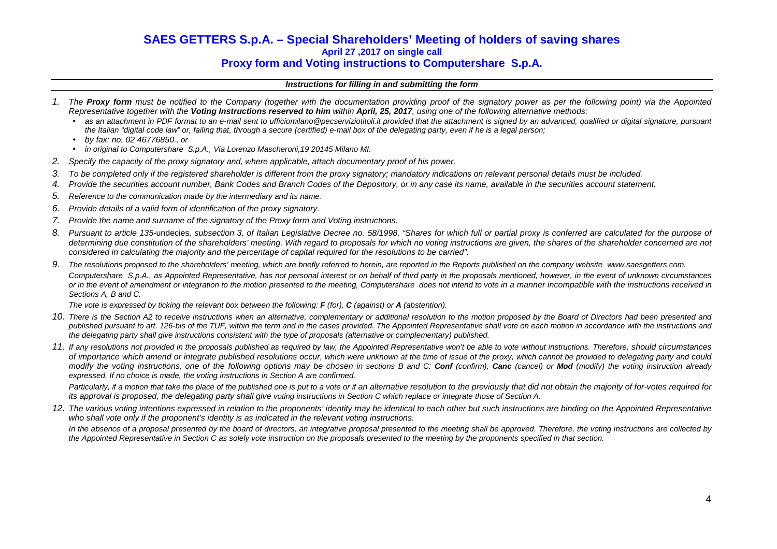### **Instructions for filling in and submitting the form**

- 1. The **Proxy form** must be notified to the Company (together with the documentation providing proof of the signatory power as per the following point) via the Appointed Representative together with the **Voting Instructions reserved to him** within **April, 25, 2017**, using one of the following alternative methods:
	- as an attachment in PDF format to an e-mail sent to ufficiomilano@pecserviziotitoli.it provided that the attachment is signed by an advanced, qualified or digital signature, pursuant the Italian "digital code law" or, failing that, through a secure (certified) e-mail box of the delegating party, even if he is a legal person;
	- by fax: no. 02 46776850., or
	- in original to Computershare S.p.A., Via Lorenzo Mascheroni,19 20145 Milano MI.
- 2. Specify the capacity of the proxy signatory and, where applicable, attach documentary proof of his power.
- 3. To be completed only if the registered shareholder is different from the proxy signatory; mandatory indications on relevant personal details must be included.
- 4. Provide the securities account number, Bank Codes and Branch Codes of the Depository, or in any case its name, available in the securities account statement.
- 5. Reference to the communication made by the intermediary and its name.
- 6. Provide details of a valid form of identification of the proxy signatory.
- 7. Provide the name and surname of the signatory of the Proxy form and Voting instructions.
- 8. Pursuant to article 135-undecies, subsection 3, of Italian Legislative Decree no. 58/1998, "Shares for which full or partial proxy is conferred are calculated for the purpose of determining due constitution of the shareholders' meeting. With regard to proposals for which no voting instructions are given, the shares of the shareholder concerned are not considered in calculating the majority and the percentage of capital required for the resolutions to be carried".
- 9. The resolutions proposed to the shareholders' meeting, which are briefly referred to herein, are reported in the Reports published on the company website www.saesgetters.com. Computershare S.p.A., as Appointed Representative, has not personal interest or on behalf of third party in the proposals mentioned, however, in the event of unknown circumstances or in the event of amendment or integration to the motion presented to the meeting, Computershare does not intend to vote in a manner incompatible with the instructions received in Sections A, B and C.

The vote is expressed by ticking the relevant box between the following: **F** (for), **C** (against) or **A** (abstention).

- 10. There is the Section A2 to receive instructions when an alternative, complementary or additional resolution to the motion proposed by the Board of Directors had been presented and published pursuant to art. 126-bis of the TUF, within the term and in the cases provided. The Appointed Representative shall vote on each motion in accordance with the instructions and the delegating party shall give instructions consistent with the type of proposals (alternative or complementary) published.
- 11. If any resolutions not provided in the proposals published as required by law, the Appointed Representative won't be able to vote without instructions. Therefore, should circumstances of importance which amend or integrate published resolutions occur, which were unknown at the time of issue of the proxy, which cannot be provided to delegating party and could modify the voting instructions, one of the following options may be chosen in sections B and C: **Conf** (confirm), **Canc** (cancel) or **Mod** (modify) the voting instruction already expressed. If no choice is made, the voting instructions in Section A are confirmed.

Particularly, if a motion that take the place of the published one is put to a vote or if an alternative resolution to the previously that did not obtain the majority of for-votes required for its approval is proposed, the delegating party shall give voting instructions in Section C which replace or integrate those of Section A.

12. The various voting intentions expressed in relation to the proponents' identity may be identical to each other but such instructions are binding on the Appointed Representative who shall vote only if the proponent's identity is as indicated in the relevant voting instructions.

In the absence of a proposal presented by the board of directors, an integrative proposal presented to the meeting shall be approved. Therefore, the voting instructions are collected by the Appointed Representative in Section C as solely vote instruction on the proposals presented to the meeting by the proponents specified in that section.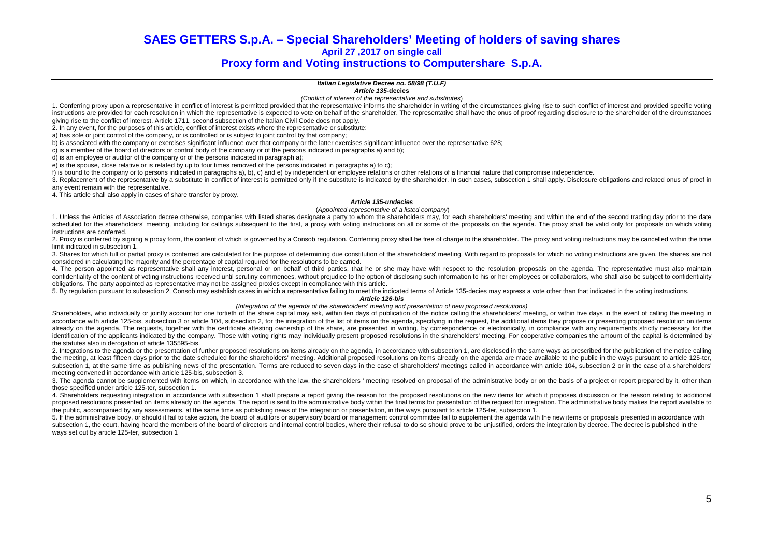# **SAES GETTERS S.p.A. – Special Shareholders' Meeting of holders of saving shares April 27 ,2017 on single call**

# **Proxy form and Voting instructions to Computershare S.p.A.**

### **Italian Legislative Decree no. 58/98 (T.U.F)**

**Article 135-decies**

(Conflict of interest of the representative and substitutes)

1. Conferring proxy upon a representative in conflict of interest is permitted provided that the representative informs the shareholder in writing of the circumstances giving rise to such conflict of interest and provided instructions are provided for each resolution in which the representative is expected to vote on behalf of the shareholder. The representative shall have the onus of proof regarding disclosure to the shareholder of the cir giving rise to the conflict of interest. Article 1711, second subsection of the Italian Civil Code does not apply.

2. In any event, for the purposes of this article, conflict of interest exists where the representative or substitute:

a) has sole or joint control of the company, or is controlled or is subject to joint control by that company;

b) is associated with the company or exercises significant influence over that company or the latter exercises significant influence over the representative 628;

c) is a member of the board of directors or control body of the company or of the persons indicated in paragraphs a) and b);

d) is an employee or auditor of the company or of the persons indicated in paragraph a);

e) is the spouse, close relative or is related by up to four times removed of the persons indicated in paragraphs a) to c);

f) is bound to the company or to persons indicated in paragraphs a), b), c) and e) by independent or employee relations or other relations of a financial nature that compromise independence.

3. Replacement of the representative by a substitute in conflict of interest is permitted only if the substitute is indicated by the shareholder. In such cases, subsection 1 shall apply. Disclosure obligations and related any event remain with the representative.

4. This article shall also apply in cases of share transfer by proxy.

#### **Article 135-undecies**

#### (Appointed representative of a listed company)

1. Unless the Articles of Association decree otherwise, companies with listed shares designate a party to whom the shareholders may, for each shareholders' meeting and within the end of the second trading day prior to the scheduled for the shareholders' meeting, including for callings subsequent to the first, a proxy with voting instructions on all or some of the proposals on the agenda. The proxy shall be valid only for proposals on which instructions are conferred.

2. Proxy is conferred by signing a proxy form, the content of which is governed by a Consob regulation. Conferring proxy shall be free of charge to the shareholder. The proxy and voting instructions may be cancelled within limit indicated in subsection 1.

3. Shares for which full or partial proxy is conferred are calculated for the purpose of determining due constitution of the shareholders' meeting. With regard to proposals for which no voting instructions are given, the s considered in calculating the majority and the percentage of capital required for the resolutions to be carried.

4. The person appointed as representative shall any interest, personal or on behalf of third parties, that he or she may have with respect to the resolution proposals on the agenda. The representative must also maintain confidentiality of the content of voting instructions received until scrutiny commences, without prejudice to the option of disclosing such information to his or her employees or collaborators, who shall also be subject to obligations. The party appointed as representative may not be assigned proxies except in compliance with this article.

5. By regulation pursuant to subsection 2, Consob may establish cases in which a representative failing to meet the indicated terms of Article 135-decies may express a vote other than that indicated in the voting instructi

#### **Article 126-bis**

#### (Integration of the agenda of the shareholders' meeting and presentation of new proposed resolutions)

Shareholders, who individually or jointly account for one fortieth of the share capital may ask, within ten days of publication of the notice calling the shareholders' meeting, or within five days in the event of calling t accordance with article 125-bis, subsection 3 or article 104, subsection 2, for the integration of the list of items on the agenda, specifying in the request, the additional items they propose or presenting proposed resolu already on the agenda. The requests, together with the certificate attesting ownership of the share, are presented in writing, by correspondence or electronically, in compliance with any requirements strictly necessary for identification of the applicants indicated by the company. Those with voting rights may individually present proposed resolutions in the shareholders' meeting. For cooperative companies the amount of the capital is determi the statutes also in derogation of article 135595-bis.

2. Integrations to the agenda or the presentation of further proposed resolutions on items already on the agenda, in accordance with subsection 1, are disclosed in the same ways as prescribed for the publication of the not the meeting, at least fifteen days prior to the date scheduled for the shareholders' meeting. Additional proposed resolutions on items already on the agenda are made available to the public in the ways pursuant to article subsection 1, at the same time as publishing news of the presentation. Terms are reduced to seven days in the case of shareholders' meetings called in accordance with article 104, subsection 2 or in the case of a sharehold meeting convened in accordance with article 125-bis, subsection 3.

3. The agenda cannot be supplemented with items on which, in accordance with the law, the shareholders ' meeting resolved on proposal of the administrative body or on the basis of a project or report prepared by it, other those specified under article 125-ter, subsection 1.

4. Shareholders requesting integration in accordance with subsection 1 shall prepare a report giving the reason for the proposed resolutions on the new items for which it proposes discussion or the reason relating to addit proposed resolutions presented on items already on the agenda. The report is sent to the administrative body within the final terms for presentation of the request for integration. The administrative body makes the report the public, accompanied by any assessments, at the same time as publishing news of the integration or presentation, in the ways pursuant to article 125-ter, subsection 1.

5. If the administrative body, or should it fail to take action, the board of auditors or supervisory board or management control committee fail to supplement the agenda with the new items or proposals presented in accorda subsection 1, the court, having heard the members of the board of directors and internal control bodies, where their refusal to do so should prove to be unjustified, orders the integration by decree. The decree is publishe ways set out by article 125-ter, subsection 1